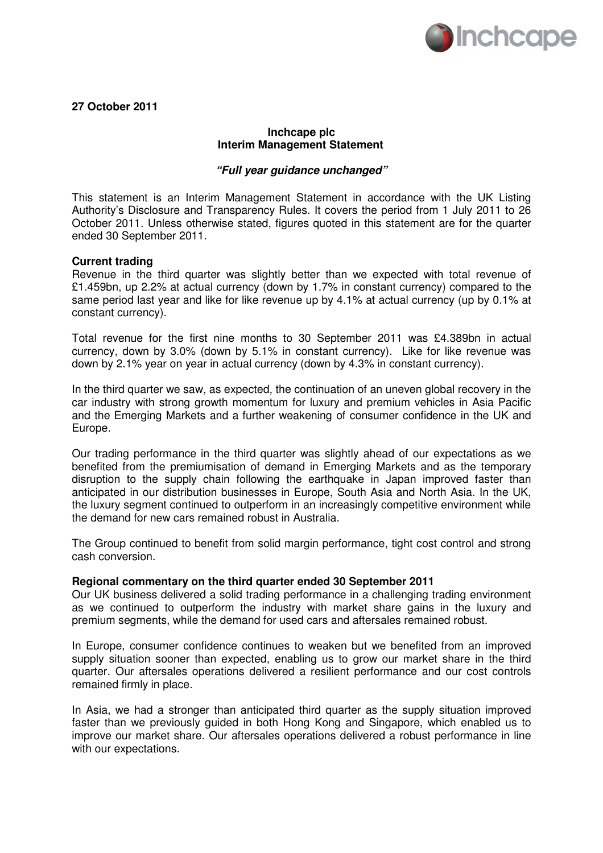

**27 October 2011** 

# **Inchcape plc Interim Management Statement**

# **"Full year guidance unchanged"**

This statement is an Interim Management Statement in accordance with the UK Listing Authority's Disclosure and Transparency Rules. It covers the period from 1 July 2011 to 26 October 2011. Unless otherwise stated, figures quoted in this statement are for the quarter ended 30 September 2011.

## **Current trading**

Revenue in the third quarter was slightly better than we expected with total revenue of £1.459bn, up 2.2% at actual currency (down by 1.7% in constant currency) compared to the same period last year and like for like revenue up by 4.1% at actual currency (up by 0.1% at constant currency).

Total revenue for the first nine months to 30 September 2011 was £4.389bn in actual currency, down by 3.0% (down by 5.1% in constant currency). Like for like revenue was down by 2.1% year on year in actual currency (down by 4.3% in constant currency).

In the third quarter we saw, as expected, the continuation of an uneven global recovery in the car industry with strong growth momentum for luxury and premium vehicles in Asia Pacific and the Emerging Markets and a further weakening of consumer confidence in the UK and Europe.

Our trading performance in the third quarter was slightly ahead of our expectations as we benefited from the premiumisation of demand in Emerging Markets and as the temporary disruption to the supply chain following the earthquake in Japan improved faster than anticipated in our distribution businesses in Europe, South Asia and North Asia. In the UK, the luxury segment continued to outperform in an increasingly competitive environment while the demand for new cars remained robust in Australia.

The Group continued to benefit from solid margin performance, tight cost control and strong cash conversion.

## **Regional commentary on the third quarter ended 30 September 2011**

Our UK business delivered a solid trading performance in a challenging trading environment as we continued to outperform the industry with market share gains in the luxury and premium segments, while the demand for used cars and aftersales remained robust.

In Europe, consumer confidence continues to weaken but we benefited from an improved supply situation sooner than expected, enabling us to grow our market share in the third quarter. Our aftersales operations delivered a resilient performance and our cost controls remained firmly in place.

In Asia, we had a stronger than anticipated third quarter as the supply situation improved faster than we previously guided in both Hong Kong and Singapore, which enabled us to improve our market share. Our aftersales operations delivered a robust performance in line with our expectations.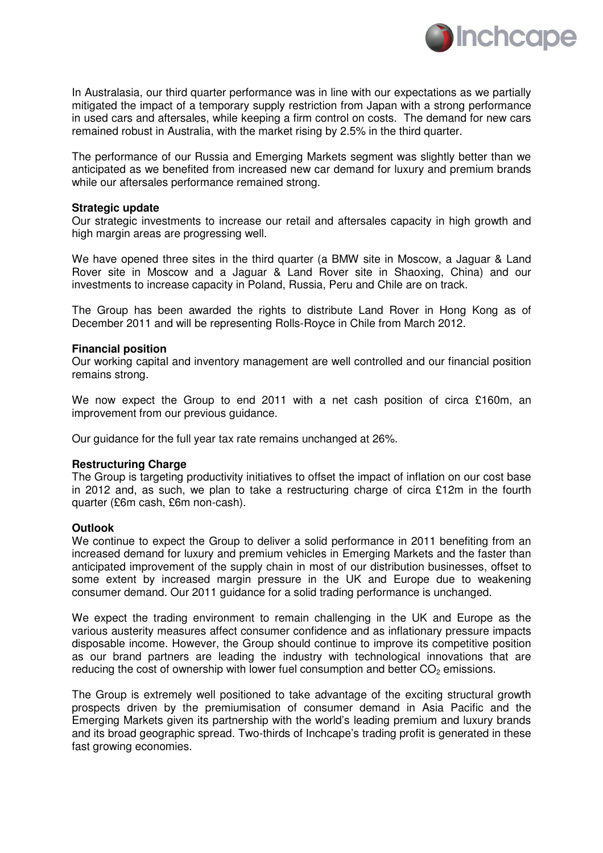

In Australasia, our third quarter performance was in line with our expectations as we partially mitigated the impact of a temporary supply restriction from Japan with a strong performance in used cars and aftersales, while keeping a firm control on costs. The demand for new cars remained robust in Australia, with the market rising by 2.5% in the third quarter.

The performance of our Russia and Emerging Markets segment was slightly better than we anticipated as we benefited from increased new car demand for luxury and premium brands while our aftersales performance remained strong.

## **Strategic update**

Our strategic investments to increase our retail and aftersales capacity in high growth and high margin areas are progressing well.

We have opened three sites in the third quarter (a BMW site in Moscow, a Jaguar & Land Rover site in Moscow and a Jaguar & Land Rover site in Shaoxing, China) and our investments to increase capacity in Poland, Russia, Peru and Chile are on track.

The Group has been awarded the rights to distribute Land Rover in Hong Kong as of December 2011 and will be representing Rolls-Royce in Chile from March 2012.

#### **Financial position**

Our working capital and inventory management are well controlled and our financial position remains strong.

We now expect the Group to end 2011 with a net cash position of circa £160m, an improvement from our previous guidance.

Our guidance for the full year tax rate remains unchanged at 26%.

## **Restructuring Charge**

The Group is targeting productivity initiatives to offset the impact of inflation on our cost base in 2012 and, as such, we plan to take a restructuring charge of circa £12m in the fourth quarter (£6m cash, £6m non-cash).

## **Outlook**

We continue to expect the Group to deliver a solid performance in 2011 benefiting from an increased demand for luxury and premium vehicles in Emerging Markets and the faster than anticipated improvement of the supply chain in most of our distribution businesses, offset to some extent by increased margin pressure in the UK and Europe due to weakening consumer demand. Our 2011 guidance for a solid trading performance is unchanged.

We expect the trading environment to remain challenging in the UK and Europe as the various austerity measures affect consumer confidence and as inflationary pressure impacts disposable income. However, the Group should continue to improve its competitive position as our brand partners are leading the industry with technological innovations that are reducing the cost of ownership with lower fuel consumption and better  $CO<sub>2</sub>$  emissions.

The Group is extremely well positioned to take advantage of the exciting structural growth prospects driven by the premiumisation of consumer demand in Asia Pacific and the Emerging Markets given its partnership with the world's leading premium and luxury brands and its broad geographic spread. Two-thirds of Inchcape's trading profit is generated in these fast growing economies.